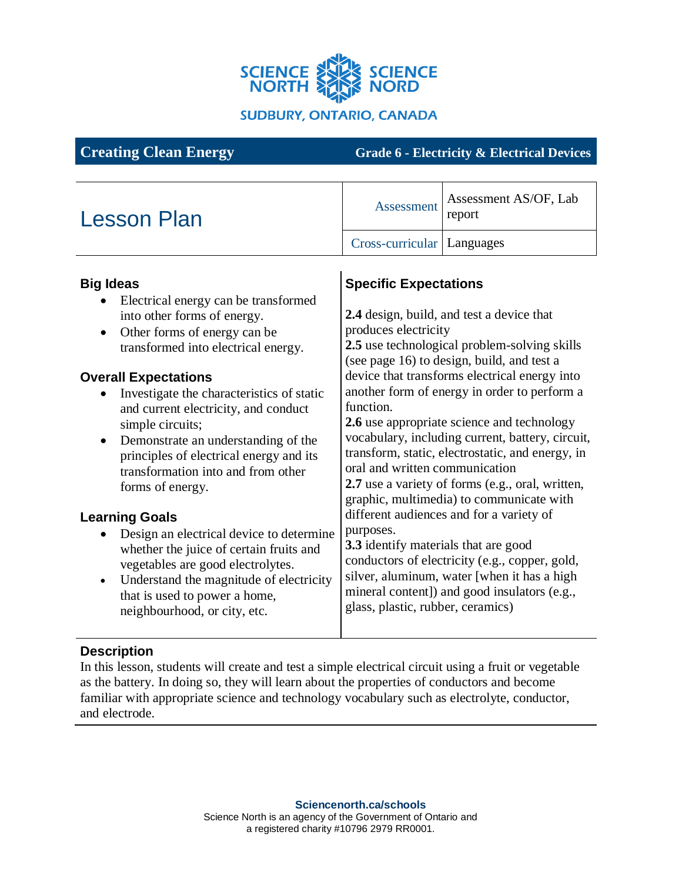

**Creating Clean Energy Grade 6 - Electricity & Electrical Devices**

#### Lesson Plan Assessment AS/OF, Lab Assessment AS/OF, Lab report Cross-curricular Languages **Big Ideas** • Electrical energy can be transformed into other forms of energy. • Other forms of energy can be transformed into electrical energy. **Overall Expectations** • Investigate the characteristics of static and current electricity, and conduct simple circuits; • Demonstrate an understanding of the principles of electrical energy and its transformation into and from other forms of energy. **Learning Goals** • Design an electrical device to determine whether the juice of certain fruits and vegetables are good electrolytes. • Understand the magnitude of electricity that is used to power a home, neighbourhood, or city, etc. **Specific Expectations 2.4** design, build, and test a device that produces electricity **2.5** use technological problem-solving skills (see page 16) to design, build, and test a device that transforms electrical energy into another form of energy in order to perform a function. **2.6** use appropriate science and technology vocabulary, including current, battery, circuit, transform, static, electrostatic, and energy, in oral and written communication **2.7** use a variety of forms (e.g., oral, written, graphic, multimedia) to communicate with different audiences and for a variety of purposes. **3.3** identify materials that are good conductors of electricity (e.g., copper, gold, silver, aluminum, water [when it has a high mineral content]) and good insulators (e.g., glass, plastic, rubber, ceramics)

## **Description**

In this lesson, students will create and test a simple electrical circuit using a fruit or vegetable as the battery. In doing so, they will learn about the properties of conductors and become familiar with appropriate science and technology vocabulary such as electrolyte, conductor, and electrode.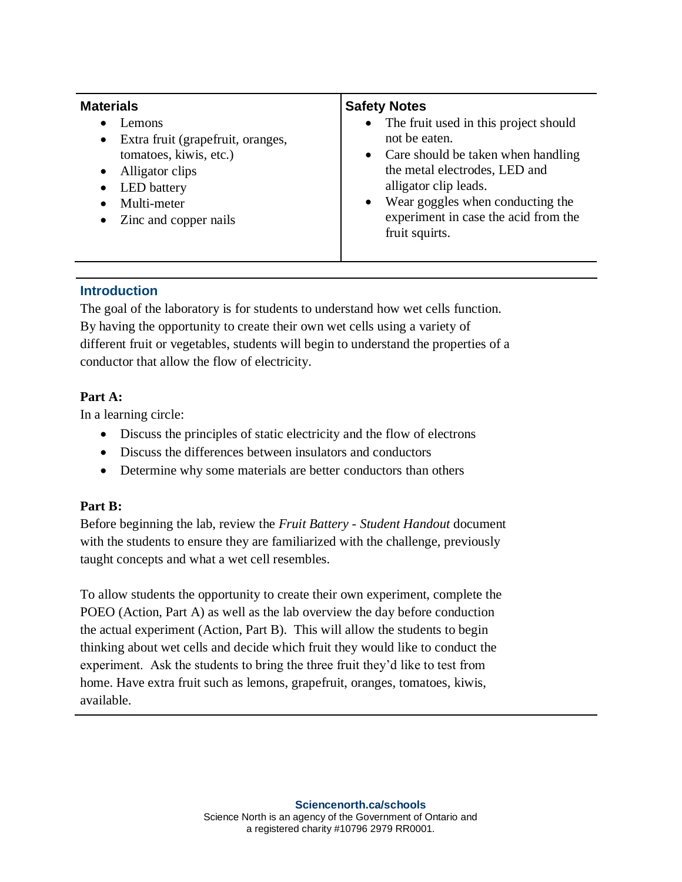| <b>Materials</b>                                                                                                                                                                                                   | <b>Safety Notes</b>                                                                                                                                                                                                                                                                         |
|--------------------------------------------------------------------------------------------------------------------------------------------------------------------------------------------------------------------|---------------------------------------------------------------------------------------------------------------------------------------------------------------------------------------------------------------------------------------------------------------------------------------------|
| Lemons<br>$\bullet$<br>Extra fruit (grapefruit, oranges,<br>$\bullet$<br>tomatoes, kiwis, etc.)<br>Alligator clips<br>$\bullet$<br>LED battery<br>$\bullet$<br>Multi-meter<br>$\bullet$<br>• Zinc and copper nails | The fruit used in this project should<br>$\bullet$<br>not be eaten.<br>Care should be taken when handling<br>$\bullet$<br>the metal electrodes, LED and<br>alligator clip leads.<br>Wear goggles when conducting the<br>$\bullet$<br>experiment in case the acid from the<br>fruit squirts. |

## **Introduction**

The goal of the laboratory is for students to understand how wet cells function. By having the opportunity to create their own wet cells using a variety of different fruit or vegetables, students will begin to understand the properties of a conductor that allow the flow of electricity.

## **Part A:**

In a learning circle:

- Discuss the principles of static electricity and the flow of electrons
- Discuss the differences between insulators and conductors
- Determine why some materials are better conductors than others

# **Part B:**

Before beginning the lab, review the *Fruit Battery - Student Handout* document with the students to ensure they are familiarized with the challenge, previously taught concepts and what a wet cell resembles.

To allow students the opportunity to create their own experiment, complete the POEO (Action, Part A) as well as the lab overview the day before conduction the actual experiment (Action, Part B). This will allow the students to begin thinking about wet cells and decide which fruit they would like to conduct the experiment. Ask the students to bring the three fruit they'd like to test from home. Have extra fruit such as lemons, grapefruit, oranges, tomatoes, kiwis, available.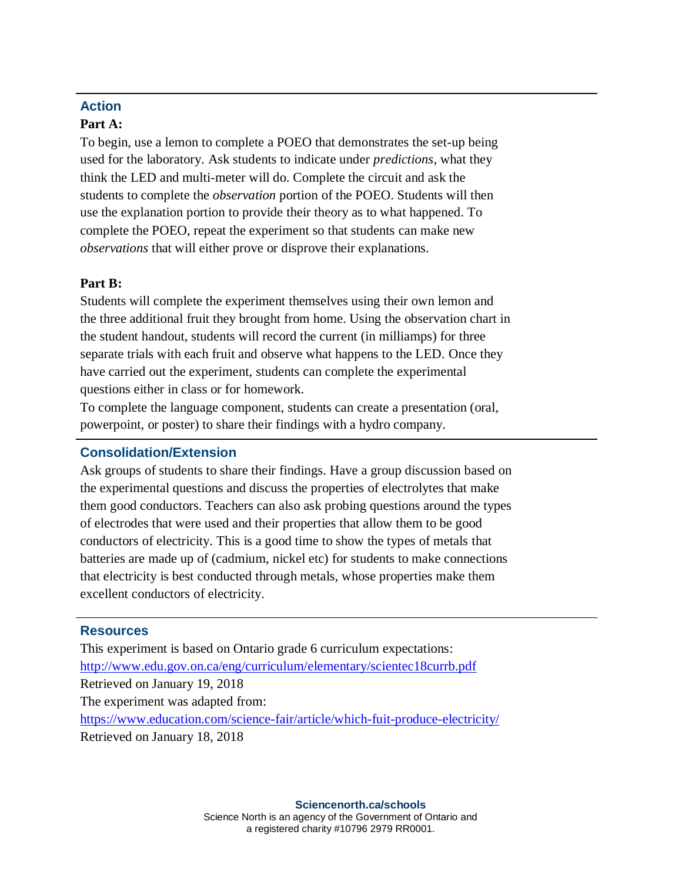# **Action**

## **Part A:**

To begin, use a lemon to complete a POEO that demonstrates the set-up being used for the laboratory. Ask students to indicate under *predictions*, what they think the LED and multi-meter will do. Complete the circuit and ask the students to complete the *observation* portion of the POEO. Students will then use the explanation portion to provide their theory as to what happened. To complete the POEO, repeat the experiment so that students can make new *observations* that will either prove or disprove their explanations.

## **Part B:**

Students will complete the experiment themselves using their own lemon and the three additional fruit they brought from home. Using the observation chart in the student handout, students will record the current (in milliamps) for three separate trials with each fruit and observe what happens to the LED. Once they have carried out the experiment, students can complete the experimental questions either in class or for homework.

To complete the language component, students can create a presentation (oral, powerpoint, or poster) to share their findings with a hydro company.

# **Consolidation/Extension**

Ask groups of students to share their findings. Have a group discussion based on the experimental questions and discuss the properties of electrolytes that make them good conductors. Teachers can also ask probing questions around the types of electrodes that were used and their properties that allow them to be good conductors of electricity. This is a good time to show the types of metals that batteries are made up of (cadmium, nickel etc) for students to make connections that electricity is best conducted through metals, whose properties make them excellent conductors of electricity.

## **Resources**

This experiment is based on Ontario grade 6 curriculum expectations: <http://www.edu.gov.on.ca/eng/curriculum/elementary/scientec18currb.pdf> Retrieved on January 19, 2018 The experiment was adapted from: <https://www.education.com/science-fair/article/which-fuit-produce-electricity/> Retrieved on January 18, 2018